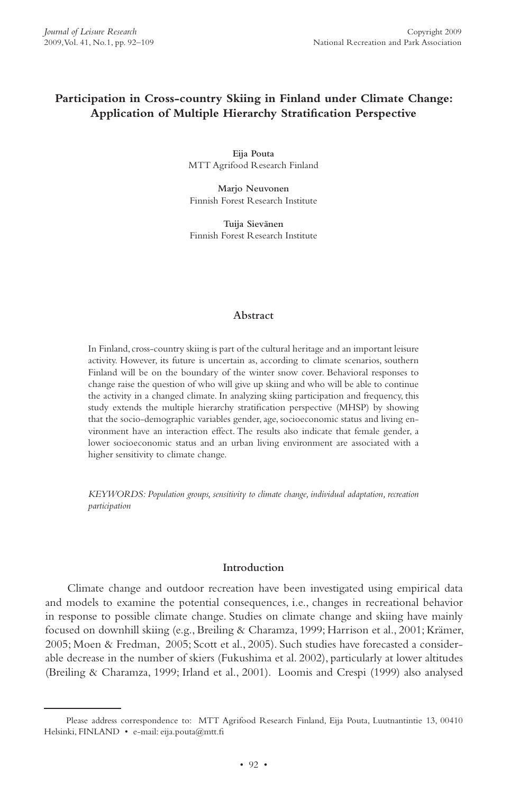# **Participation in Cross-country Skiing in Finland under Climate Change: Application of Multiple Hierarchy Stratification Perspective**

**Eija Pouta** MTT Agrifood Research Finland

**Marjo Neuvonen** Finnish Forest Research Institute

**Tuija Sievänen** Finnish Forest Research Institute

## **Abstract**

In Finland, cross-country skiing is part of the cultural heritage and an important leisure activity. However, its future is uncertain as, according to climate scenarios, southern Finland will be on the boundary of the winter snow cover. Behavioral responses to change raise the question of who will give up skiing and who will be able to continue the activity in a changed climate. In analyzing skiing participation and frequency, this study extends the multiple hierarchy stratification perspective (MHSP) by showing that the socio-demographic variables gender, age, socioeconomic status and living environment have an interaction effect. The results also indicate that female gender, a lower socioeconomic status and an urban living environment are associated with a higher sensitivity to climate change.

*Keywords: Population groups, sensitivity to climate change, individual adaptation, recreation participation* 

## **Introduction**

Climate change and outdoor recreation have been investigated using empirical data and models to examine the potential consequences, i.e., changes in recreational behavior in response to possible climate change. Studies on climate change and skiing have mainly focused on downhill skiing (e.g., Breiling & Charamza, 1999; Harrison et al., 2001; Krämer, 2005; Moen & Fredman, 2005; Scott et al., 2005). Such studies have forecasted a considerable decrease in the number of skiers (Fukushima et al. 2002), particularly at lower altitudes (Breiling & Charamza, 1999; Irland et al., 2001). Loomis and Crespi (1999) also analysed

Please address correspondence to: MTT Agrifood Research Finland, Eija Pouta, Luutnantintie 13, 00410 Helsinki, FINLAND • e-mail: eija.pouta@mtt.fi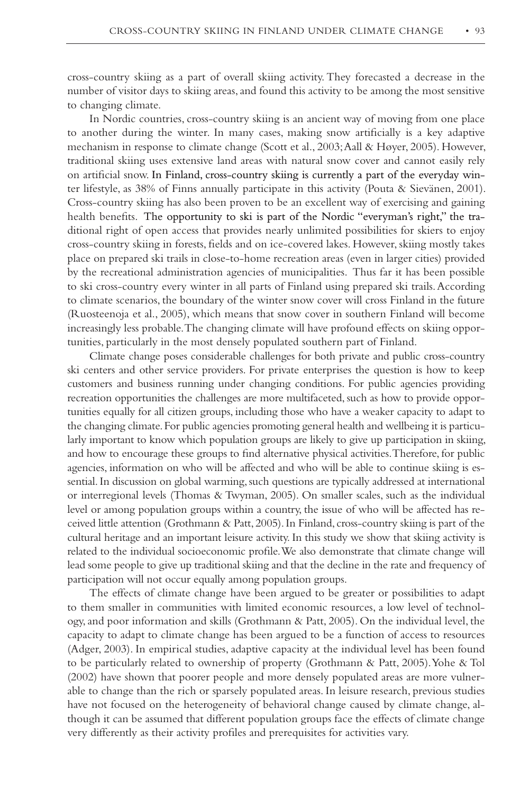cross-country skiing as a part of overall skiing activity. They forecasted a decrease in the number of visitor days to skiing areas, and found this activity to be among the most sensitive to changing climate.

In Nordic countries, cross-country skiing is an ancient way of moving from one place to another during the winter. In many cases, making snow artificially is a key adaptive mechanism in response to climate change (Scott et al., 2003; Aall & Høyer, 2005). However, traditional skiing uses extensive land areas with natural snow cover and cannot easily rely on artificial snow. In Finland, cross-country skiing is currently a part of the everyday winter lifestyle, as 38% of Finns annually participate in this activity (Pouta & Sievänen, 2001). Cross-country skiing has also been proven to be an excellent way of exercising and gaining health benefits. The opportunity to ski is part of the Nordic "everyman's right," the traditional right of open access that provides nearly unlimited possibilities for skiers to enjoy cross-country skiing in forests, fields and on ice-covered lakes. However, skiing mostly takes place on prepared ski trails in close-to-home recreation areas (even in larger cities) provided by the recreational administration agencies of municipalities. Thus far it has been possible to ski cross-country every winter in all parts of Finland using prepared ski trails. According to climate scenarios, the boundary of the winter snow cover will cross Finland in the future (Ruosteenoja et al., 2005), which means that snow cover in southern Finland will become increasingly less probable. The changing climate will have profound effects on skiing opportunities, particularly in the most densely populated southern part of Finland.

Climate change poses considerable challenges for both private and public cross-country ski centers and other service providers. For private enterprises the question is how to keep customers and business running under changing conditions. For public agencies providing recreation opportunities the challenges are more multifaceted, such as how to provide opportunities equally for all citizen groups, including those who have a weaker capacity to adapt to the changing climate. For public agencies promoting general health and wellbeing it is particularly important to know which population groups are likely to give up participation in skiing, and how to encourage these groups to find alternative physical activities. Therefore, for public agencies, information on who will be affected and who will be able to continue skiing is essential. In discussion on global warming, such questions are typically addressed at international or interregional levels (Thomas & Twyman, 2005). On smaller scales, such as the individual level or among population groups within a country, the issue of who will be affected has received little attention (Grothmann & Patt, 2005). In Finland, cross-country skiing is part of the cultural heritage and an important leisure activity. In this study we show that skiing activity is related to the individual socioeconomic profile. We also demonstrate that climate change will lead some people to give up traditional skiing and that the decline in the rate and frequency of participation will not occur equally among population groups.

The effects of climate change have been argued to be greater or possibilities to adapt to them smaller in communities with limited economic resources, a low level of technology, and poor information and skills (Grothmann & Patt, 2005). On the individual level, the capacity to adapt to climate change has been argued to be a function of access to resources (Adger, 2003). In empirical studies, adaptive capacity at the individual level has been found to be particularly related to ownership of property (Grothmann & Patt, 2005). Yohe & Tol (2002) have shown that poorer people and more densely populated areas are more vulnerable to change than the rich or sparsely populated areas. In leisure research, previous studies have not focused on the heterogeneity of behavioral change caused by climate change, although it can be assumed that different population groups face the effects of climate change very differently as their activity profiles and prerequisites for activities vary.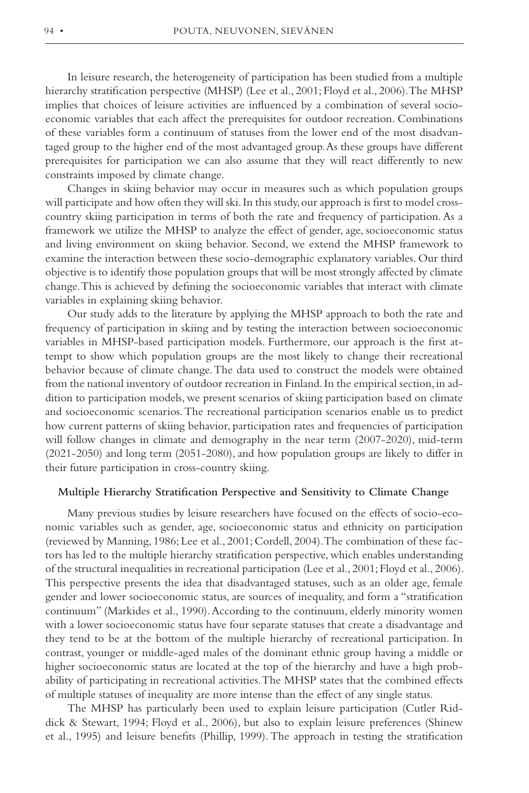In leisure research, the heterogeneity of participation has been studied from a multiple hierarchy stratification perspective (MHSP) (Lee et al., 2001; Floyd et al., 2006). The MHSP implies that choices of leisure activities are influenced by a combination of several socioeconomic variables that each affect the prerequisites for outdoor recreation. Combinations of these variables form a continuum of statuses from the lower end of the most disadvantaged group to the higher end of the most advantaged group. As these groups have different prerequisites for participation we can also assume that they will react differently to new constraints imposed by climate change.

Changes in skiing behavior may occur in measures such as which population groups will participate and how often they will ski. In this study, our approach is first to model crosscountry skiing participation in terms of both the rate and frequency of participation. As a framework we utilize the MHSP to analyze the effect of gender, age, socioeconomic status and living environment on skiing behavior. Second, we extend the MHSP framework to examine the interaction between these socio-demographic explanatory variables. Our third objective is to identify those population groups that will be most strongly affected by climate change. This is achieved by defining the socioeconomic variables that interact with climate variables in explaining skiing behavior.

Our study adds to the literature by applying the MHSP approach to both the rate and frequency of participation in skiing and by testing the interaction between socioeconomic variables in MHSP-based participation models. Furthermore, our approach is the first attempt to show which population groups are the most likely to change their recreational behavior because of climate change. The data used to construct the models were obtained from the national inventory of outdoor recreation in Finland. In the empirical section, in addition to participation models, we present scenarios of skiing participation based on climate and socioeconomic scenarios. The recreational participation scenarios enable us to predict how current patterns of skiing behavior, participation rates and frequencies of participation will follow changes in climate and demography in the near term (2007-2020), mid-term (2021-2050) and long term (2051-2080), and how population groups are likely to differ in their future participation in cross-country skiing.

## **Multiple Hierarchy Stratification Perspective and Sensitivity to Climate Change**

Many previous studies by leisure researchers have focused on the effects of socio-economic variables such as gender, age, socioeconomic status and ethnicity on participation (reviewed by Manning, 1986; Lee et al., 2001; Cordell, 2004). The combination of these factors has led to the multiple hierarchy stratification perspective, which enables understanding of the structural inequalities in recreational participation (Lee et al., 2001; Floyd et al., 2006). This perspective presents the idea that disadvantaged statuses, such as an older age, female gender and lower socioeconomic status, are sources of inequality, and form a "stratification continuum" (Markides et al., 1990). According to the continuum, elderly minority women with a lower socioeconomic status have four separate statuses that create a disadvantage and they tend to be at the bottom of the multiple hierarchy of recreational participation. In contrast, younger or middle-aged males of the dominant ethnic group having a middle or higher socioeconomic status are located at the top of the hierarchy and have a high probability of participating in recreational activities. The MHSP states that the combined effects of multiple statuses of inequality are more intense than the effect of any single status.

The MHSP has particularly been used to explain leisure participation (Cutler Riddick & Stewart, 1994; Floyd et al., 2006), but also to explain leisure preferences (Shinew et al., 1995) and leisure benefits (Phillip, 1999). The approach in testing the stratification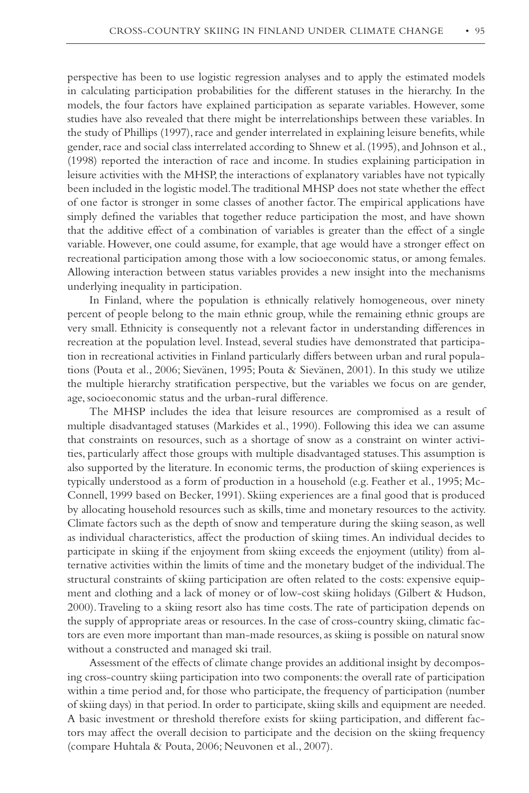perspective has been to use logistic regression analyses and to apply the estimated models in calculating participation probabilities for the different statuses in the hierarchy. In the models, the four factors have explained participation as separate variables. However, some studies have also revealed that there might be interrelationships between these variables. In the study of Phillips (1997), race and gender interrelated in explaining leisure benefits, while gender, race and social class interrelated according to Shnew et al. (1995), and Johnson et al., (1998) reported the interaction of race and income. In studies explaining participation in leisure activities with the MHSP, the interactions of explanatory variables have not typically been included in the logistic model. The traditional MHSP does not state whether the effect of one factor is stronger in some classes of another factor. The empirical applications have simply defined the variables that together reduce participation the most, and have shown that the additive effect of a combination of variables is greater than the effect of a single variable. However, one could assume, for example, that age would have a stronger effect on recreational participation among those with a low socioeconomic status, or among females. Allowing interaction between status variables provides a new insight into the mechanisms underlying inequality in participation.

In Finland, where the population is ethnically relatively homogeneous, over ninety percent of people belong to the main ethnic group, while the remaining ethnic groups are very small. Ethnicity is consequently not a relevant factor in understanding differences in recreation at the population level. Instead, several studies have demonstrated that participation in recreational activities in Finland particularly differs between urban and rural populations (Pouta et al., 2006; Sievänen, 1995; Pouta & Sievänen, 2001). In this study we utilize the multiple hierarchy stratification perspective, but the variables we focus on are gender, age, socioeconomic status and the urban-rural difference.

The MHSP includes the idea that leisure resources are compromised as a result of multiple disadvantaged statuses (Markides et al., 1990). Following this idea we can assume that constraints on resources, such as a shortage of snow as a constraint on winter activities, particularly affect those groups with multiple disadvantaged statuses. This assumption is also supported by the literature. In economic terms, the production of skiing experiences is typically understood as a form of production in a household (e.g. Feather et al., 1995; Mc-Connell, 1999 based on Becker, 1991). Skiing experiences are a final good that is produced by allocating household resources such as skills, time and monetary resources to the activity. Climate factors such as the depth of snow and temperature during the skiing season, as well as individual characteristics, affect the production of skiing times. An individual decides to participate in skiing if the enjoyment from skiing exceeds the enjoyment (utility) from alternative activities within the limits of time and the monetary budget of the individual. The structural constraints of skiing participation are often related to the costs: expensive equipment and clothing and a lack of money or of low-cost skiing holidays (Gilbert & Hudson, 2000). Traveling to a skiing resort also has time costs. The rate of participation depends on the supply of appropriate areas or resources. In the case of cross-country skiing, climatic factors are even more important than man-made resources, as skiing is possible on natural snow without a constructed and managed ski trail.

Assessment of the effects of climate change provides an additional insight by decomposing cross-country skiing participation into two components: the overall rate of participation within a time period and, for those who participate, the frequency of participation (number of skiing days) in that period. In order to participate, skiing skills and equipment are needed. A basic investment or threshold therefore exists for skiing participation, and different factors may affect the overall decision to participate and the decision on the skiing frequency (compare Huhtala & Pouta, 2006; Neuvonen et al., 2007).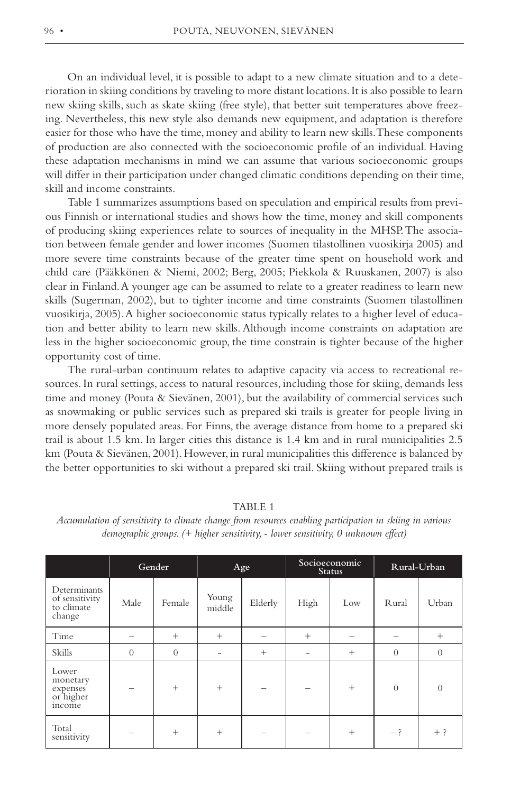On an individual level, it is possible to adapt to a new climate situation and to a deterioration in skiing conditions by traveling to more distant locations. It is also possible to learn new skiing skills, such as skate skiing (free style), that better suit temperatures above freezing. Nevertheless, this new style also demands new equipment, and adaptation is therefore easier for those who have the time, money and ability to learn new skills. These components of production are also connected with the socioeconomic profile of an individual. Having these adaptation mechanisms in mind we can assume that various socioeconomic groups will differ in their participation under changed climatic conditions depending on their time, skill and income constraints.

Table 1 summarizes assumptions based on speculation and empirical results from previous Finnish or international studies and shows how the time, money and skill components of producing skiing experiences relate to sources of inequality in the MHSP. The association between female gender and lower incomes (Suomen tilastollinen vuosikirja 2005) and more severe time constraints because of the greater time spent on household work and child care (Pääkkönen & Niemi, 2002; Berg, 2005; Piekkola & Ruuskanen, 2007) is also clear in Finland. A younger age can be assumed to relate to a greater readiness to learn new skills (Sugerman, 2002), but to tighter income and time constraints (Suomen tilastollinen vuosikirja, 2005). A higher socioeconomic status typically relates to a higher level of education and better ability to learn new skills. Although income constraints on adaptation are less in the higher socioeconomic group, the time constrain is tighter because of the higher opportunity cost of time.

The rural-urban continuum relates to adaptive capacity via access to recreational resources. In rural settings, access to natural resources, including those for skiing, demands less time and money (Pouta & Sievänen, 2001), but the availability of commercial services such as snowmaking or public services such as prepared ski trails is greater for people living in more densely populated areas. For Finns, the average distance from home to a prepared ski trail is about 1.5 km. In larger cities this distance is 1.4 km and in rural municipalities 2.5 km (Pouta & Sievänen, 2001). However, in rural municipalities this difference is balanced by the better opportunities to ski without a prepared ski trail. Skiing without prepared trails is

|                                                        |          | Gender   | Socioeconomic<br>Age<br><b>Status</b> |         |        | Rural-Urban |                |          |
|--------------------------------------------------------|----------|----------|---------------------------------------|---------|--------|-------------|----------------|----------|
| Determinants<br>of sensitivity<br>to climate<br>change | Male     | Female   | Young<br>middle                       | Elderly | High   | Low         | Rural          | Urban    |
| Time                                                   |          | $^{+}$   | $^{+}$                                |         | $^{+}$ |             |                | $^{+}$   |
| <b>Skills</b>                                          | $\Omega$ | $\Omega$ | -                                     | $^{+}$  |        | $^{+}$      | $\theta$       | $\theta$ |
| Lower<br>monetary<br>expenses<br>or higher<br>income   |          | $^{+}$   | $^{+}$                                |         |        | $^{+}$      | $\overline{0}$ | $\theta$ |
| Total<br>sensitivity                                   |          | $^{+}$   | $^{+}$                                |         |        | $^{+}$      | $-?$           | $+ ?$    |

TABLE 1

*Accumulation of sensitivity to climate change from resources enabling participation in skiing in various demographic groups. (+ higher sensitivity, - lower sensitivity, 0 unknown effect)*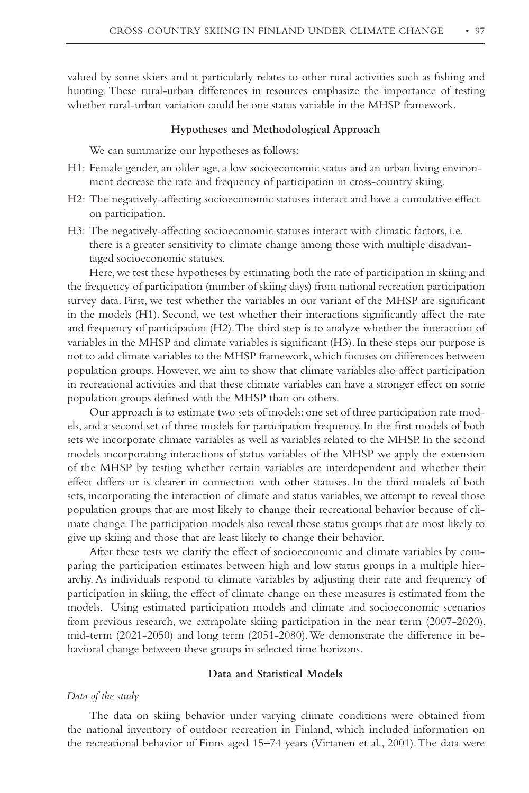valued by some skiers and it particularly relates to other rural activities such as fishing and hunting. These rural-urban differences in resources emphasize the importance of testing whether rural-urban variation could be one status variable in the MHSP framework.

#### **Hypotheses and Methodological Approach**

We can summarize our hypotheses as follows:

- H1: Female gender, an older age, a low socioeconomic status and an urban living environment decrease the rate and frequency of participation in cross-country skiing.
- H2: The negatively-affecting socioeconomic statuses interact and have a cumulative effect on participation.
- H3: The negatively-affecting socioeconomic statuses interact with climatic factors, i.e. there is a greater sensitivity to climate change among those with multiple disadvantaged socioeconomic statuses.

Here, we test these hypotheses by estimating both the rate of participation in skiing and the frequency of participation (number of skiing days) from national recreation participation survey data. First, we test whether the variables in our variant of the MHSP are significant in the models (H1). Second, we test whether their interactions significantly affect the rate and frequency of participation (H2). The third step is to analyze whether the interaction of variables in the MHSP and climate variables is significant (H3). In these steps our purpose is not to add climate variables to the MHSP framework, which focuses on differences between population groups. However, we aim to show that climate variables also affect participation in recreational activities and that these climate variables can have a stronger effect on some population groups defined with the MHSP than on others.

Our approach is to estimate two sets of models: one set of three participation rate models, and a second set of three models for participation frequency. In the first models of both sets we incorporate climate variables as well as variables related to the MHSP. In the second models incorporating interactions of status variables of the MHSP we apply the extension of the MHSP by testing whether certain variables are interdependent and whether their effect differs or is clearer in connection with other statuses. In the third models of both sets, incorporating the interaction of climate and status variables, we attempt to reveal those population groups that are most likely to change their recreational behavior because of climate change. The participation models also reveal those status groups that are most likely to give up skiing and those that are least likely to change their behavior.

After these tests we clarify the effect of socioeconomic and climate variables by comparing the participation estimates between high and low status groups in a multiple hierarchy. As individuals respond to climate variables by adjusting their rate and frequency of participation in skiing, the effect of climate change on these measures is estimated from the models. Using estimated participation models and climate and socioeconomic scenarios from previous research, we extrapolate skiing participation in the near term (2007-2020), mid-term (2021-2050) and long term (2051-2080). We demonstrate the difference in behavioral change between these groups in selected time horizons.

## **Data and Statistical Models**

# *Data of the study*

The data on skiing behavior under varying climate conditions were obtained from the national inventory of outdoor recreation in Finland, which included information on the recreational behavior of Finns aged 15–74 years (Virtanen et al., 2001). The data were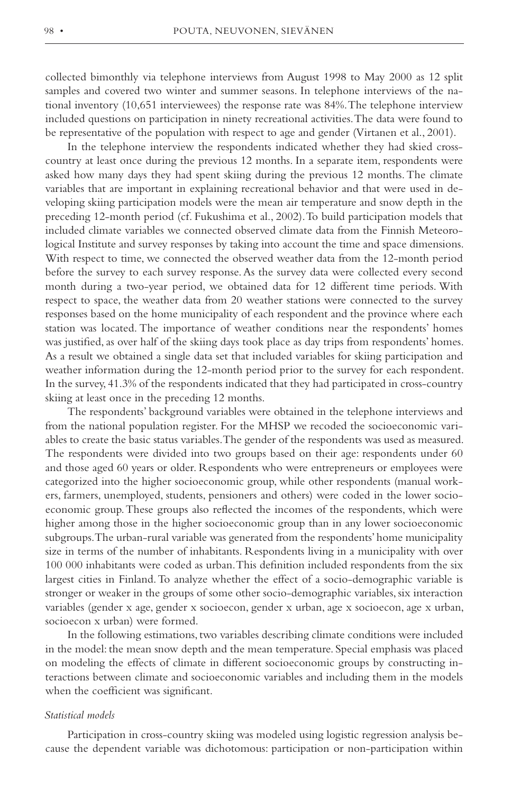collected bimonthly via telephone interviews from August 1998 to May 2000 as 12 split samples and covered two winter and summer seasons. In telephone interviews of the national inventory (10,651 interviewees) the response rate was 84%. The telephone interview included questions on participation in ninety recreational activities. The data were found to be representative of the population with respect to age and gender (Virtanen et al., 2001).

In the telephone interview the respondents indicated whether they had skied crosscountry at least once during the previous 12 months. In a separate item, respondents were asked how many days they had spent skiing during the previous 12 months. The climate variables that are important in explaining recreational behavior and that were used in developing skiing participation models were the mean air temperature and snow depth in the preceding 12-month period (cf. Fukushima et al., 2002). To build participation models that included climate variables we connected observed climate data from the Finnish Meteorological Institute and survey responses by taking into account the time and space dimensions. With respect to time, we connected the observed weather data from the 12-month period before the survey to each survey response. As the survey data were collected every second month during a two-year period, we obtained data for 12 different time periods. With respect to space, the weather data from 20 weather stations were connected to the survey responses based on the home municipality of each respondent and the province where each station was located. The importance of weather conditions near the respondents' homes was justified, as over half of the skiing days took place as day trips from respondents' homes. As a result we obtained a single data set that included variables for skiing participation and weather information during the 12-month period prior to the survey for each respondent. In the survey, 41.3% of the respondents indicated that they had participated in cross-country skiing at least once in the preceding 12 months.

The respondents' background variables were obtained in the telephone interviews and from the national population register. For the MHSP we recoded the socioeconomic variables to create the basic status variables. The gender of the respondents was used as measured. The respondents were divided into two groups based on their age: respondents under 60 and those aged 60 years or older. Respondents who were entrepreneurs or employees were categorized into the higher socioeconomic group, while other respondents (manual workers, farmers, unemployed, students, pensioners and others) were coded in the lower socioeconomic group. These groups also reflected the incomes of the respondents, which were higher among those in the higher socioeconomic group than in any lower socioeconomic subgroups. The urban-rural variable was generated from the respondents' home municipality size in terms of the number of inhabitants. Respondents living in a municipality with over 100 000 inhabitants were coded as urban. This definition included respondents from the six largest cities in Finland. To analyze whether the effect of a socio-demographic variable is stronger or weaker in the groups of some other socio-demographic variables, six interaction variables (gender x age, gender x socioecon, gender x urban, age x socioecon, age x urban, socioecon x urban) were formed.

In the following estimations, two variables describing climate conditions were included in the model: the mean snow depth and the mean temperature. Special emphasis was placed on modeling the effects of climate in different socioeconomic groups by constructing interactions between climate and socioeconomic variables and including them in the models when the coefficient was significant.

## *Statistical models*

Participation in cross-country skiing was modeled using logistic regression analysis because the dependent variable was dichotomous: participation or non-participation within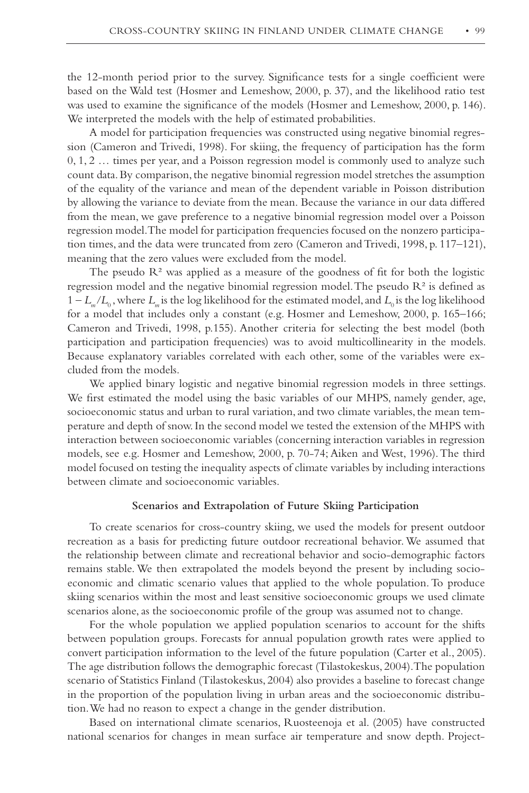the 12-month period prior to the survey. Significance tests for a single coefficient were based on the Wald test (Hosmer and Lemeshow, 2000, p. 37), and the likelihood ratio test was used to examine the significance of the models (Hosmer and Lemeshow, 2000, p. 146). We interpreted the models with the help of estimated probabilities.

A model for participation frequencies was constructed using negative binomial regression (Cameron and Trivedi, 1998). For skiing, the frequency of participation has the form 0, 1, 2 … times per year, and a Poisson regression model is commonly used to analyze such count data. By comparison, the negative binomial regression model stretches the assumption of the equality of the variance and mean of the dependent variable in Poisson distribution by allowing the variance to deviate from the mean. Because the variance in our data differed from the mean, we gave preference to a negative binomial regression model over a Poisson regression model. The model for participation frequencies focused on the nonzero participation times, and the data were truncated from zero (Cameron and Trivedi, 1998, p. 117–121), meaning that the zero values were excluded from the model.

The pseudo  $\mathbb{R}^2$  was applied as a measure of the goodness of fit for both the logistic regression model and the negative binomial regression model. The pseudo  $R<sup>2</sup>$  is defined as  $1 - L_n/L_0$ , where  $L_n$  is the log likelihood for the estimated model, and  $L_0$  is the log likelihood for a model that includes only a constant (e.g. Hosmer and Lemeshow, 2000, p. 165–166; Cameron and Trivedi, 1998, p.155). Another criteria for selecting the best model (both participation and participation frequencies) was to avoid multicollinearity in the models. Because explanatory variables correlated with each other, some of the variables were excluded from the models.

We applied binary logistic and negative binomial regression models in three settings. We first estimated the model using the basic variables of our MHPS, namely gender, age, socioeconomic status and urban to rural variation, and two climate variables, the mean temperature and depth of snow. In the second model we tested the extension of the MHPS with interaction between socioeconomic variables (concerning interaction variables in regression models, see e.g. Hosmer and Lemeshow, 2000, p. 70-74; Aiken and West, 1996). The third model focused on testing the inequality aspects of climate variables by including interactions between climate and socioeconomic variables.

## **Scenarios and Extrapolation of Future Skiing Participation**

To create scenarios for cross-country skiing, we used the models for present outdoor recreation as a basis for predicting future outdoor recreational behavior. We assumed that the relationship between climate and recreational behavior and socio-demographic factors remains stable. We then extrapolated the models beyond the present by including socioeconomic and climatic scenario values that applied to the whole population. To produce skiing scenarios within the most and least sensitive socioeconomic groups we used climate scenarios alone, as the socioeconomic profile of the group was assumed not to change.

For the whole population we applied population scenarios to account for the shifts between population groups. Forecasts for annual population growth rates were applied to convert participation information to the level of the future population (Carter et al., 2005). The age distribution follows the demographic forecast (Tilastokeskus, 2004). The population scenario of Statistics Finland (Tilastokeskus, 2004) also provides a baseline to forecast change in the proportion of the population living in urban areas and the socioeconomic distribution. We had no reason to expect a change in the gender distribution.

Based on international climate scenarios, Ruosteenoja et al. (2005) have constructed national scenarios for changes in mean surface air temperature and snow depth. Project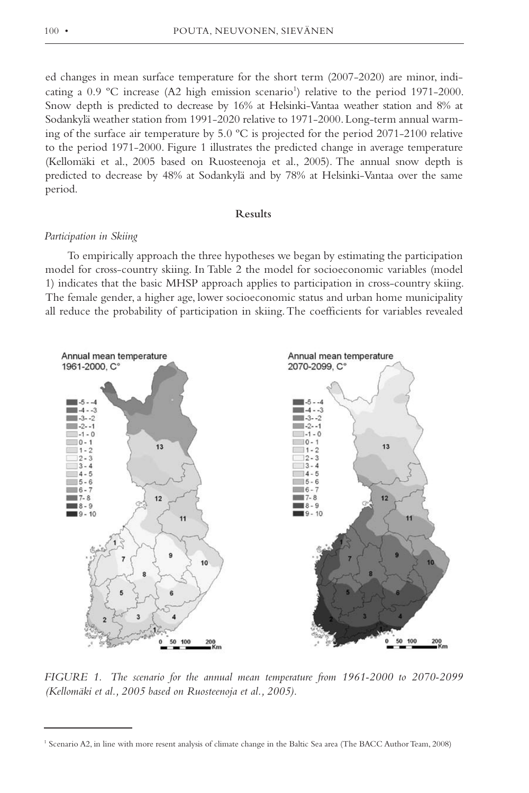ed changes in mean surface temperature for the short term (2007-2020) are minor, indicating a  $0.9 \text{ °C}$  increase (A2 high emission scenario<sup>1</sup>) relative to the period 1971-2000. Snow depth is predicted to decrease by 16% at Helsinki-Vantaa weather station and 8% at Sodankylä weather station from 1991-2020 relative to 1971-2000. Long-term annual warming of the surface air temperature by  $5.0 \degree C$  is projected for the period 2071-2100 relative to the period 1971-2000. Figure 1 illustrates the predicted change in average temperature (Kellomäki et al., 2005 based on Ruosteenoja et al., 2005). The annual snow depth is predicted to decrease by 48% at Sodankylä and by 78% at Helsinki-Vantaa over the same period.

#### **Results**

#### *Participation in Skiing*

To empirically approach the three hypotheses we began by estimating the participation model for cross-country skiing. In Table 2 the model for socioeconomic variables (model 1) indicates that the basic MHSP approach applies to participation in cross-country skiing. The female gender, a higher age, lower socioeconomic status and urban home municipality all reduce the probability of participation in skiing. The coefficients for variables revealed



*Figure 1. The scenario for the annual mean temperature from 1961-2000 to 2070-2099 (Kellomäki et al., 2005 based on Ruosteenoja et al., 2005).*

<sup>1</sup> Scenario A2, in line with more resent analysis of climate change in the Baltic Sea area (The BACC Author Team, 2008)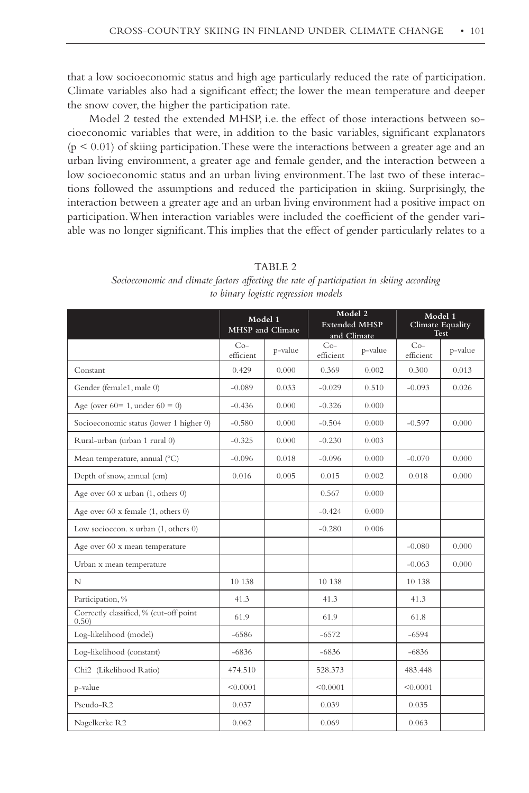that a low socioeconomic status and high age particularly reduced the rate of participation. Climate variables also had a significant effect; the lower the mean temperature and deeper the snow cover, the higher the participation rate.

Model 2 tested the extended MHSP, i.e. the effect of those interactions between socioeconomic variables that were, in addition to the basic variables, significant explanators  $(p < 0.01)$  of skiing participation. These were the interactions between a greater age and an urban living environment, a greater age and female gender, and the interaction between a low socioeconomic status and an urban living environment. The last two of these interactions followed the assumptions and reduced the participation in skiing. Surprisingly, the interaction between a greater age and an urban living environment had a positive impact on participation. When interaction variables were included the coefficient of the gender variable was no longer significant. This implies that the effect of gender particularly relates to a

|                                                  | Model 1<br>MHSP and Climate |         | Model 2<br><b>Extended MHSP</b><br>and Climate |         | Model 1<br>Climate Equality<br>Test |         |
|--------------------------------------------------|-----------------------------|---------|------------------------------------------------|---------|-------------------------------------|---------|
|                                                  | $Co-$<br>efficient          | p-value | $Co-$<br>efficient                             | p-value | $Co-$<br>efficient                  | p-value |
| Constant                                         | 0.429                       | 0.000   | 0.369                                          | 0.002   | 0.300                               | 0.013   |
| Gender (female1, male 0)                         | $-0.089$                    | 0.033   | $-0.029$                                       | 0.510   | $-0.093$                            | 0.026   |
| Age (over $60 = 1$ , under $60 = 0$ )            | $-0.436$                    | 0.000   | $-0.326$                                       | 0.000   |                                     |         |
| Socioeconomic status (lower 1 higher 0)          | $-0.580$                    | 0.000   | $-0.504$                                       | 0.000   | $-0.597$                            | 0.000   |
| Rural-urban (urban 1 rural 0)                    | $-0.325$                    | 0.000   | $-0.230$                                       | 0.003   |                                     |         |
| Mean temperature, annual (°C)                    | $-0.096$                    | 0.018   | $-0.096$                                       | 0.000   | $-0.070$                            | 0.000   |
| Depth of snow, annual (cm)                       | 0.016                       | 0.005   | 0.015                                          | 0.002   | 0.018                               | 0.000   |
| Age over 60 x urban (1, others 0)                |                             |         | 0.567                                          | 0.000   |                                     |         |
| Age over 60 x female (1, others 0)               |                             |         | $-0.424$                                       | 0.000   |                                     |         |
| Low socioecon. x urban (1, others 0)             |                             |         | $-0.280$                                       | 0.006   |                                     |         |
| Age over 60 x mean temperature                   |                             |         |                                                |         | $-0.080$                            | 0.000   |
| Urban x mean temperature                         |                             |         |                                                |         | $-0.063$                            | 0.000   |
| N                                                | 10 138                      |         | 10 138                                         |         | 10 138                              |         |
| Participation, %                                 | 41.3                        |         | 41.3                                           |         | 41.3                                |         |
| Correctly classified, % (cut-off point<br>(0.50) | 61.9                        |         | 61.9                                           |         | 61.8                                |         |
| Log-likelihood (model)                           | $-6586$                     |         | $-6572$                                        |         | $-6594$                             |         |
| Log-likelihood (constant)                        | $-6836$                     |         | $-6836$                                        |         | $-6836$                             |         |
| Chi <sub>2</sub> (Likelihood Ratio)              | 474.510                     |         | 528.373                                        |         | 483.448                             |         |
| p-value                                          | < 0.0001                    |         | < 0.0001                                       |         | < 0.0001                            |         |
| Pseudo-R2                                        | 0.037                       |         | 0.039                                          |         | 0.035                               |         |
| Nagelkerke R2                                    | 0.062                       |         | 0.069                                          |         | 0.063                               |         |

Table 2 *Socioeconomic and climate factors affecting the rate of participation in skiing according to binary logistic regression models*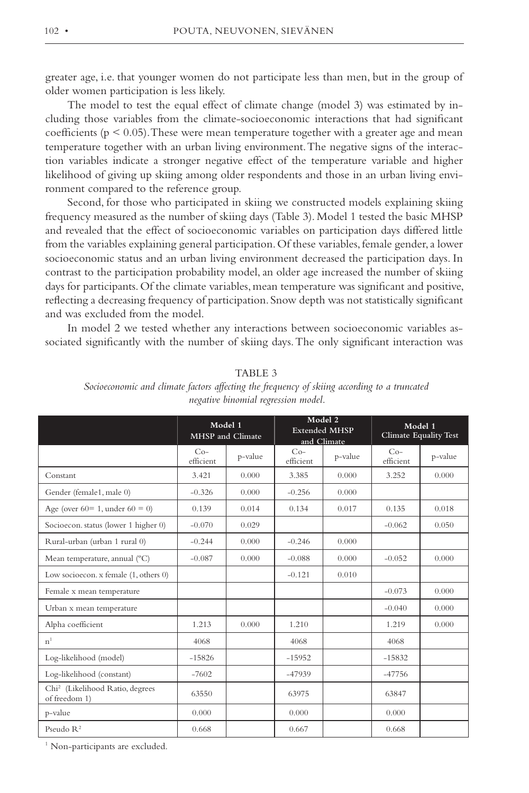greater age, i.e. that younger women do not participate less than men, but in the group of older women participation is less likely.

The model to test the equal effect of climate change (model 3) was estimated by including those variables from the climate-socioeconomic interactions that had significant coefficients ( $p < 0.05$ ). These were mean temperature together with a greater age and mean temperature together with an urban living environment. The negative signs of the interaction variables indicate a stronger negative effect of the temperature variable and higher likelihood of giving up skiing among older respondents and those in an urban living environment compared to the reference group.

Second, for those who participated in skiing we constructed models explaining skiing frequency measured as the number of skiing days (Table 3). Model 1 tested the basic MHSP and revealed that the effect of socioeconomic variables on participation days differed little from the variables explaining general participation. Of these variables, female gender, a lower socioeconomic status and an urban living environment decreased the participation days. In contrast to the participation probability model, an older age increased the number of skiing days for participants. Of the climate variables, mean temperature was significant and positive, reflecting a decreasing frequency of participation. Snow depth was not statistically significant and was excluded from the model.

In model 2 we tested whether any interactions between socioeconomic variables associated significantly with the number of skiing days. The only significant interaction was

|                                                              | Model 1<br>MHSP and Climate |         | Model 2<br><b>Extended MHSP</b><br>and Climate |         | Model 1<br><b>Climate Equality Test</b> |         |
|--------------------------------------------------------------|-----------------------------|---------|------------------------------------------------|---------|-----------------------------------------|---------|
|                                                              | $Co-$<br>efficient          | p-value | $Co-$<br>efficient                             | p-value | $Co-$<br>efficient                      | p-value |
| Constant                                                     | 3.421                       | 0.000   | 3.385                                          | 0.000   | 3.252                                   | 0.000   |
| Gender (female1, male 0)                                     | $-0.326$                    | 0.000   | $-0.256$                                       | 0.000   |                                         |         |
| Age (over $60 = 1$ , under $60 = 0$ )                        | 0.139                       | 0.014   | 0.134                                          | 0.017   | 0.135                                   | 0.018   |
| Socioecon. status (lower 1 higher 0)                         | $-0.070$                    | 0.029   |                                                |         | $-0.062$                                | 0.050   |
| Rural-urban (urban 1 rural 0)                                | $-0.244$                    | 0.000   | $-0.246$                                       | 0.000   |                                         |         |
| Mean temperature, annual (°C)                                | $-0.087$                    | 0.000   | $-0.088$                                       | 0.000   | $-0.052$                                | 0.000   |
| Low socioecon. x female (1, others 0)                        |                             |         | $-0.121$                                       | 0.010   |                                         |         |
| Female x mean temperature                                    |                             |         |                                                |         | $-0.073$                                | 0.000   |
| Urban x mean temperature                                     |                             |         |                                                |         | $-0.040$                                | 0.000   |
| Alpha coefficient                                            | 1.213                       | 0.000   | 1.210                                          |         | 1.219                                   | 0.000   |
| n <sup>1</sup>                                               | 4068                        |         | 4068                                           |         | 4068                                    |         |
| Log-likelihood (model)                                       | $-15826$                    |         | $-15952$                                       |         | $-15832$                                |         |
| Log-likelihood (constant)                                    | $-7602$                     |         | $-47939$                                       |         | $-47756$                                |         |
| Chi <sup>2</sup> (Likelihood Ratio, degrees<br>of freedom 1) | 63550                       |         | 63975                                          |         | 63847                                   |         |
| p-value                                                      | 0.000                       |         | 0.000                                          |         | 0.000                                   |         |
| Pseudo $R^2$                                                 | 0.668                       |         | 0.667                                          |         | 0.668                                   |         |

TABLE<sub>3</sub>

*Socioeconomic and climate factors affecting the frequency of skiing according to a truncated negative binomial regression model.*

<sup>1</sup> Non-participants are excluded.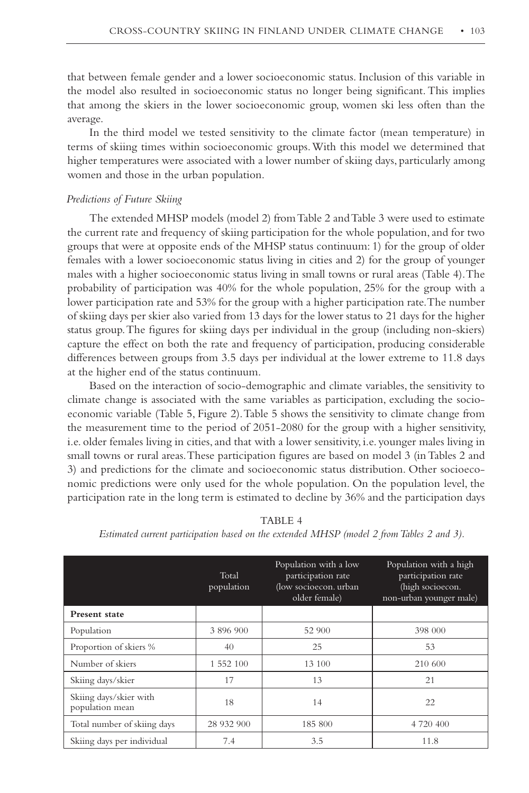that between female gender and a lower socioeconomic status. Inclusion of this variable in the model also resulted in socioeconomic status no longer being significant. This implies that among the skiers in the lower socioeconomic group, women ski less often than the average.

In the third model we tested sensitivity to the climate factor (mean temperature) in terms of skiing times within socioeconomic groups. With this model we determined that higher temperatures were associated with a lower number of skiing days, particularly among women and those in the urban population.

#### *Predictions of Future Skiing*

The extended MHSP models (model 2) from Table 2 and Table 3 were used to estimate the current rate and frequency of skiing participation for the whole population, and for two groups that were at opposite ends of the MHSP status continuum: 1) for the group of older females with a lower socioeconomic status living in cities and 2) for the group of younger males with a higher socioeconomic status living in small towns or rural areas (Table 4). The probability of participation was 40% for the whole population, 25% for the group with a lower participation rate and 53% for the group with a higher participation rate. The number of skiing days per skier also varied from 13 days for the lower status to 21 days for the higher status group. The figures for skiing days per individual in the group (including non-skiers) capture the effect on both the rate and frequency of participation, producing considerable differences between groups from 3.5 days per individual at the lower extreme to 11.8 days at the higher end of the status continuum.

Based on the interaction of socio-demographic and climate variables, the sensitivity to climate change is associated with the same variables as participation, excluding the socioeconomic variable (Table 5, Figure 2). Table 5 shows the sensitivity to climate change from the measurement time to the period of 2051-2080 for the group with a higher sensitivity, i.e. older females living in cities, and that with a lower sensitivity, i.e. younger males living in small towns or rural areas. These participation figures are based on model 3 (in Tables 2 and 3) and predictions for the climate and socioeconomic status distribution. Other socioeconomic predictions were only used for the whole population. On the population level, the participation rate in the long term is estimated to decline by 36% and the participation days

|                                           | Total<br>population | Population with a low<br>participation rate<br>(low socioecon. urban<br>older female) | Population with a high<br>participation rate<br>(high socioecon.<br>non-urban younger male) |  |  |
|-------------------------------------------|---------------------|---------------------------------------------------------------------------------------|---------------------------------------------------------------------------------------------|--|--|
| Present state                             |                     |                                                                                       |                                                                                             |  |  |
| Population                                | 3 896 900           | 52 900                                                                                | 398 000                                                                                     |  |  |
| Proportion of skiers %                    | 40                  | 25                                                                                    | 53                                                                                          |  |  |
| Number of skiers                          | 1 552 100           | 13 100                                                                                | 210 600                                                                                     |  |  |
| Skiing days/skier                         | 17                  | 13                                                                                    | 21                                                                                          |  |  |
| Skiing days/skier with<br>population mean | 18                  | 14                                                                                    | 22                                                                                          |  |  |
| Total number of skiing days               | 28 932 900          | 185 800                                                                               | 4 720 400                                                                                   |  |  |
| Skiing days per individual                | 7.4                 | 3.5                                                                                   | 11.8                                                                                        |  |  |

Table 4 *Estimated current participation based on the extended MHSP (model 2 from Tables 2 and 3).*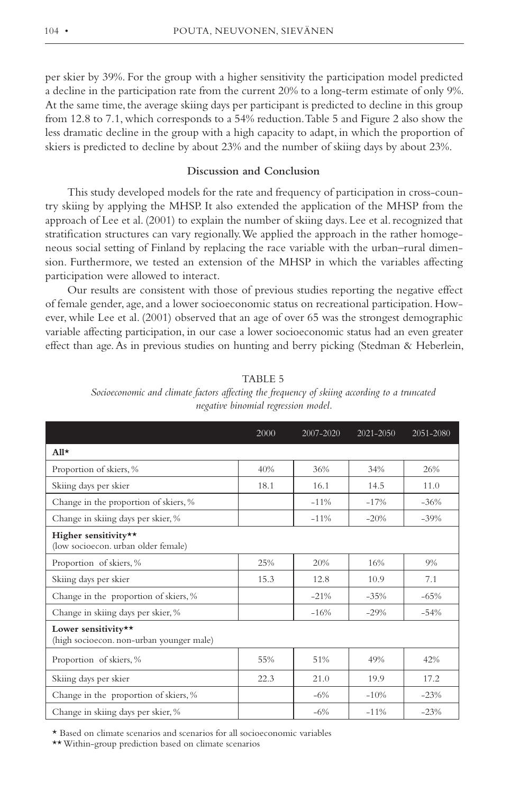per skier by 39%. For the group with a higher sensitivity the participation model predicted a decline in the participation rate from the current 20% to a long-term estimate of only 9%. At the same time, the average skiing days per participant is predicted to decline in this group from 12.8 to 7.1, which corresponds to a 54% reduction. Table 5 and Figure 2 also show the less dramatic decline in the group with a high capacity to adapt, in which the proportion of skiers is predicted to decline by about 23% and the number of skiing days by about 23%.

# **Discussion and Conclusion**

This study developed models for the rate and frequency of participation in cross-country skiing by applying the MHSP. It also extended the application of the MHSP from the approach of Lee et al. (2001) to explain the number of skiing days. Lee et al. recognized that stratification structures can vary regionally. We applied the approach in the rather homogeneous social setting of Finland by replacing the race variable with the urban–rural dimension. Furthermore, we tested an extension of the MHSP in which the variables affecting participation were allowed to interact.

Our results are consistent with those of previous studies reporting the negative effect of female gender, age, and a lower socioeconomic status on recreational participation. However, while Lee et al. (2001) observed that an age of over 65 was the strongest demographic variable affecting participation, in our case a lower socioeconomic status had an even greater effect than age. As in previous studies on hunting and berry picking (Stedman & Heberlein,

|                                                                 | 2000 | 2007-2020 | 2021-2050 | 2051-2080 |  |  |  |
|-----------------------------------------------------------------|------|-----------|-----------|-----------|--|--|--|
| $All*$                                                          |      |           |           |           |  |  |  |
| Proportion of skiers, %                                         | 40%  | 36%       | 34%       | 26%       |  |  |  |
| Skiing days per skier                                           | 18.1 | 16.1      | 14.5      | 11.0      |  |  |  |
| Change in the proportion of skiers, %                           |      | $-11%$    | $-17%$    | $-36%$    |  |  |  |
| Change in skiing days per skier, %                              |      | $-11%$    | $-20%$    | $-39%$    |  |  |  |
| Higher sensitivity**<br>(low socioecon. urban older female)     |      |           |           |           |  |  |  |
| Proportion of skiers, %                                         | 25%  | 20%       | 16%       | 9%        |  |  |  |
| Skiing days per skier                                           | 15.3 | 12.8      | 10.9      | 7.1       |  |  |  |
| Change in the proportion of skiers, %                           |      | $-21%$    | $-35%$    | $-65%$    |  |  |  |
| Change in skiing days per skier, %                              |      | $-16%$    | $-29%$    | $-54%$    |  |  |  |
| Lower sensitivity**<br>(high socioecon. non-urban younger male) |      |           |           |           |  |  |  |
| Proportion of skiers, %                                         | 55%  | 51%       | 49%       | 42%       |  |  |  |
| Skiing days per skier                                           | 22.3 | 21.0      | 19.9      | 17.2      |  |  |  |
| Change in the proportion of skiers, %                           |      | $-6\%$    | $-10%$    | $-23%$    |  |  |  |
| Change in skiing days per skier, %                              |      | $-6\%$    | $-11%$    | $-23%$    |  |  |  |

Table 5 *Socioeconomic and climate factors affecting the frequency of skiing according to a truncated negative binomial regression model.*

\* Based on climate scenarios and scenarios for all socioeconomic variables

\*\* Within-group prediction based on climate scenarios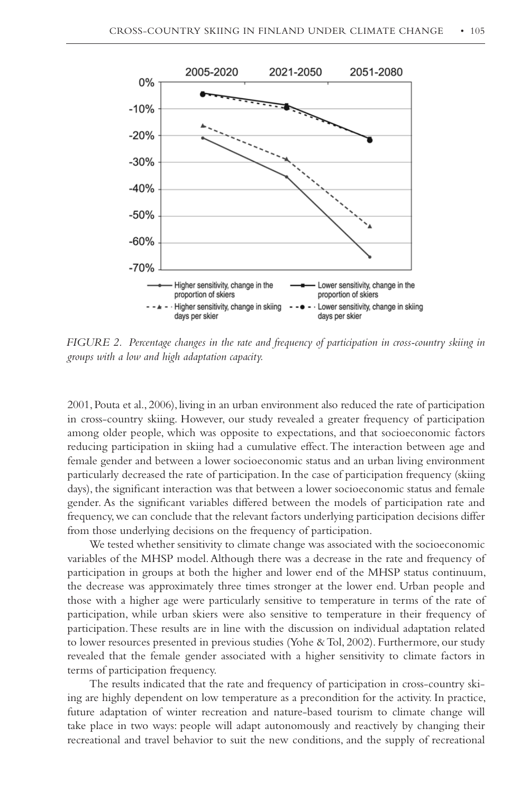

*Figure 2. Percentage changes in the rate and frequency of participation in cross-country skiing in groups with a low and high adaptation capacity.*

2001, Pouta et al., 2006), living in an urban environment also reduced the rate of participation in cross-country skiing. However, our study revealed a greater frequency of participation among older people, which was opposite to expectations, and that socioeconomic factors reducing participation in skiing had a cumulative effect. The interaction between age and female gender and between a lower socioeconomic status and an urban living environment particularly decreased the rate of participation. In the case of participation frequency (skiing days), the significant interaction was that between a lower socioeconomic status and female gender. As the significant variables differed between the models of participation rate and frequency, we can conclude that the relevant factors underlying participation decisions differ from those underlying decisions on the frequency of participation.

We tested whether sensitivity to climate change was associated with the socioeconomic variables of the MHSP model. Although there was a decrease in the rate and frequency of participation in groups at both the higher and lower end of the MHSP status continuum, the decrease was approximately three times stronger at the lower end. Urban people and those with a higher age were particularly sensitive to temperature in terms of the rate of participation, while urban skiers were also sensitive to temperature in their frequency of participation. These results are in line with the discussion on individual adaptation related to lower resources presented in previous studies (Yohe & Tol, 2002). Furthermore, our study revealed that the female gender associated with a higher sensitivity to climate factors in terms of participation frequency.

The results indicated that the rate and frequency of participation in cross-country skiing are highly dependent on low temperature as a precondition for the activity. In practice, future adaptation of winter recreation and nature-based tourism to climate change will take place in two ways: people will adapt autonomously and reactively by changing their recreational and travel behavior to suit the new conditions, and the supply of recreational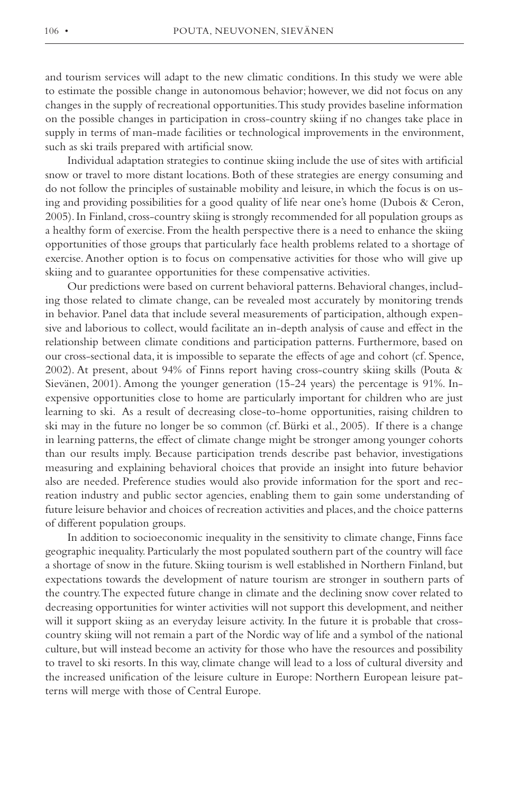and tourism services will adapt to the new climatic conditions. In this study we were able to estimate the possible change in autonomous behavior; however, we did not focus on any changes in the supply of recreational opportunities. This study provides baseline information on the possible changes in participation in cross-country skiing if no changes take place in supply in terms of man-made facilities or technological improvements in the environment, such as ski trails prepared with artificial snow.

Individual adaptation strategies to continue skiing include the use of sites with artificial snow or travel to more distant locations. Both of these strategies are energy consuming and do not follow the principles of sustainable mobility and leisure, in which the focus is on using and providing possibilities for a good quality of life near one's home (Dubois  $\&$  Ceron, 2005). In Finland, cross-country skiing is strongly recommended for all population groups as a healthy form of exercise. From the health perspective there is a need to enhance the skiing opportunities of those groups that particularly face health problems related to a shortage of exercise. Another option is to focus on compensative activities for those who will give up skiing and to guarantee opportunities for these compensative activities.

Our predictions were based on current behavioral patterns. Behavioral changes, including those related to climate change, can be revealed most accurately by monitoring trends in behavior. Panel data that include several measurements of participation, although expensive and laborious to collect, would facilitate an in-depth analysis of cause and effect in the relationship between climate conditions and participation patterns. Furthermore, based on our cross-sectional data, it is impossible to separate the effects of age and cohort (cf. Spence, 2002). At present, about 94% of Finns report having cross-country skiing skills (Pouta & Sievänen, 2001). Among the younger generation (15-24 years) the percentage is 91%. Inexpensive opportunities close to home are particularly important for children who are just learning to ski. As a result of decreasing close-to-home opportunities, raising children to ski may in the future no longer be so common (cf. Bürki et al., 2005). If there is a change in learning patterns, the effect of climate change might be stronger among younger cohorts than our results imply. Because participation trends describe past behavior, investigations measuring and explaining behavioral choices that provide an insight into future behavior also are needed. Preference studies would also provide information for the sport and recreation industry and public sector agencies, enabling them to gain some understanding of future leisure behavior and choices of recreation activities and places, and the choice patterns of different population groups.

In addition to socioeconomic inequality in the sensitivity to climate change, Finns face geographic inequality. Particularly the most populated southern part of the country will face a shortage of snow in the future. Skiing tourism is well established in Northern Finland, but expectations towards the development of nature tourism are stronger in southern parts of the country. The expected future change in climate and the declining snow cover related to decreasing opportunities for winter activities will not support this development, and neither will it support skiing as an everyday leisure activity. In the future it is probable that crosscountry skiing will not remain a part of the Nordic way of life and a symbol of the national culture, but will instead become an activity for those who have the resources and possibility to travel to ski resorts. In this way, climate change will lead to a loss of cultural diversity and the increased unification of the leisure culture in Europe: Northern European leisure patterns will merge with those of Central Europe.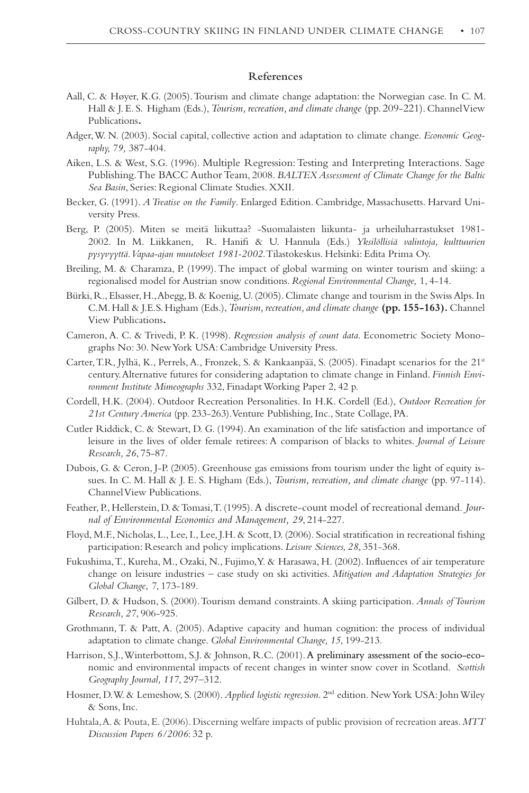## **References**

- Aall, C. & Høyer, K.G. (2005). Tourism and climate change adaptation: the Norwegian case. In C. M. Hall & J. E. S. Higham (Eds.), *Tourism, recreation, and climate change* (pp. 209-221). Channel View Publications**.**
- Adger, W. N. (2003). Social capital, collective action and adaptation to climate change. *Economic Geography, 79,* 387-404.
- Aiken, L.S. & West, S.G. (1996). Multiple Regression: Testing and Interpreting Interactions. Sage Publishing. The BACC Author Team, 2008. *BALTEX Assessment of Climate Change for the Baltic Sea Basin*, Series: Regional Climate Studies. XXII.
- Becker, G. (1991). *A Treatise on the Family*. Enlarged Edition. Cambridge, Massachusetts. Harvard University Press.
- Berg, P. (2005). Miten se meitä liikuttaa? -Suomalaisten liikunta- ja urheiluharrastukset 1981- 2002. In M. Liikkanen, R. Hanifi & U. Hannula (Eds.) *Yksilöllisiä valintoja, kulttuurien pysyvyyttä. Vapaa-ajan muutokset 1981-2002*. Tilastokeskus. Helsinki: Edita Prima Oy.
- Breiling, M. & Charamza, P. (1999). The impact of global warming on winter tourism and skiing: a regionalised model for Austrian snow conditions. *Regional Environmental Change,* 1, 4-14.
- Bürki, R., Elsasser, H., Abegg, B. & Koenig, U. (2005). Climate change and tourism in the Swiss Alps. In C.M. Hall & J.E.S. Higham (Eds.), *Tourism, recreation, and climate change* **(pp. 155-163).** Channel View Publications**.**
- Cameron, A. C. & Trivedi, P. K. (1998). *Regression analysis of count data*. Econometric Society Monographs No: 30. New York USA: Cambridge University Press.
- Carter, T.R, Jylhä, K., Perrels, A., Fronzek, S. & Kankaanpää, S. (2005). Finadapt scenarios for the 21<sup>st</sup> century. Alternative futures for considering adaptation to climate change in Finland. *Finnish Environment Institute Mimeographs* 332, Finadapt Working Paper 2, 42 p.
- Cordell, H.K. (2004). Outdoor Recreation Personalities. In H.K. Cordell (Ed.), *Outdoor Recreation for 21st Century America* (pp. 233-263). Venture Publishing, Inc., State Collage, PA.
- Cutler Riddick, C. & Stewart, D. G. (1994). An examination of the life satisfaction and importance of leisure in the lives of older female retirees: A comparison of blacks to whites. *Journal of Leisure Research, 26*, 75-87.
- Dubois, G. & Ceron, J-P. (2005). Greenhouse gas emissions from tourism under the light of equity issues. In C. M. Hall & J. E. S. Higham (Eds.), *Tourism, recreation, and climate change* (pp. 97-114). Channel View Publications.
- Feather, P., Hellerstein, D. & Tomasi, T. (1995). A discrete-count model of recreational demand. *Journal of Environmental Economics and Management, 29*, 214-227.
- Floyd, M.F., Nicholas, L., Lee, I., Lee, J.H. & Scott, D. (2006). Social stratification in recreational fishing participation: Research and policy implications. *Leisure Sciences, 28*, 351-368.
- Fukushima, T., Kureha, M., Ozaki, N., Fujimo, Y. & Harasawa, H. (2002). Influences of air temperature change on leisure industries – case study on ski activities. *Mitigation and Adaptation Strategies for Global Change*, *7*, 173-189.
- Gilbert, D. & Hudson, S. (2000). Tourism demand constraints. A skiing participation. *Annals of Tourism Research, 27*, 906-925.
- Grothmann, T. & Patt, A. (2005). Adaptive capacity and human cognition: the process of individual adaptation to climate change. *Global Environmental Change, 15*, 199-213.
- Harrison, S.J., Winterbottom, S.J. & Johnson, R.C. (2001). A preliminary assessment of the socio-economic and environmental impacts of recent changes in winter snow cover in Scotland. *Scottish Geography Journal, 117*, 297–312.
- Hosmer, D. W. & Lemeshow, S. (2000). *Applied logistic regression*. 2nd edition. New York USA: John Wiley & Sons, Inc.
- Huhtala, A. & Pouta, E. (2006). Discerning welfare impacts of public provision of recreation areas. *MTT Discussion Papers 6/2006*: 32 p.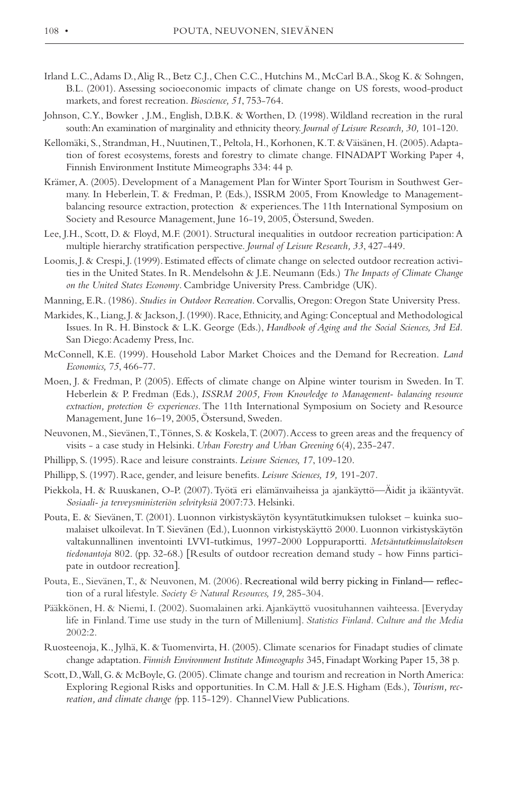- Irland L.C., Adams D., Alig R., Betz C.J., Chen C.C., Hutchins M., McCarl B.A., Skog K. & Sohngen, B.L. (2001). Assessing socioeconomic impacts of climate change on US forests, wood-product markets, and forest recreation. *Bioscience, 51*, 753-764.
- Johnson, C.Y., Bowker , J.M., English, D.B.K. & Worthen, D. (1998). Wildland recreation in the rural south: An examination of marginality and ethnicity theory. *Journal of Leisure Research, 30,* 101-120.
- Kellomäki, S., Strandman, H., Nuutinen, T., Peltola, H., Korhonen, K.T. & Väisänen, H. (2005). Adaptation of forest ecosystems, forests and forestry to climate change. FINADAPT Working Paper 4, Finnish Environment Institute Mimeographs 334: 44 p.
- Krämer, A. (2005). Development of a Management Plan for Winter Sport Tourism in Southwest Germany. In Heberlein, T. & Fredman, P. (Eds.), ISSRM 2005, From Knowledge to Managementbalancing resource extraction, protection & experiences. The 11th International Symposium on Society and Resource Management, June 16-19, 2005, Östersund, Sweden.
- Lee, J.H., Scott, D. & Floyd, M.F. (2001). Structural inequalities in outdoor recreation participation: A multiple hierarchy stratification perspective. *Journal of Leisure Research, 33*, 427-449.
- Loomis, J. & Crespi, J. (1999). Estimated effects of climate change on selected outdoor recreation activities in the United States. In R. Mendelsohn & J.E. Neumann (Eds.) *The Impacts of Climate Change on the United States Economy*. Cambridge University Press. Cambridge (UK).
- Manning, E.R. (1986). *Studies in Outdoor Recreation*. Corvallis, Oregon: Oregon State University Press.
- Markides, K., Liang, J. & Jackson, J. (1990). Race, Ethnicity, and Aging: Conceptual and Methodological Issues. In R. H. Binstock & L.K. George (Eds.), *Handbook of Aging and the Social Sciences, 3rd Ed.* San Diego: Academy Press, Inc.
- McConnell, K.E. (1999). Household Labor Market Choices and the Demand for Recreation. *Land Economics, 75*, 466-77.
- Moen, J. & Fredman, P. (2005). Effects of climate change on Alpine winter tourism in Sweden. In T. Heberlein & P. Fredman (Eds.), *ISSRM 2005, From Knowledge to Management- balancing resource extraction, protection & experiences*. The 11th International Symposium on Society and Resource Management, June 16–19, 2005, Östersund, Sweden.
- Neuvonen, M., Sievänen, T., Tönnes, S. & Koskela, T. (2007). Access to green areas and the frequency of visits - a case study in Helsinki. *Urban Forestry and Urban Greening* 6(4), 235-247.
- Phillipp, S. (1995). Race and leisure constraints. *Leisure Sciences, 17*, 109-120.
- Phillipp, S. (1997). Race, gender, and leisure benefits. *Leisure Sciences, 19,* 191-207.
- Piekkola, H. & Ruuskanen, O-P. (2007). Työtä eri elämänvaiheissa ja ajankäyttö—Äidit ja ikääntyvät. *Sosiaali- ja terveysministeriön selvityksiä* 2007:73. Helsinki.
- Pouta, E. & Sievänen, T. (2001). Luonnon virkistyskäytön kysyntätutkimuksen tulokset kuinka suomalaiset ulkoilevat. In T. Sievänen (Ed.), Luonnon virkistyskäyttö 2000. Luonnon virkistyskäytön valtakunnallinen inventointi LVVI-tutkimus, 1997-2000 Loppuraportti. *Metsäntutkimuslaitoksen tiedonantoja* 802. (pp. 32-68.) [Results of outdoor recreation demand study - how Finns participate in outdoor recreation].
- Pouta, E., Sievänen, T., & Neuvonen, M. (2006). Recreational wild berry picking in Finland— reflection of a rural lifestyle. *Society & Natural Resources, 19*, 285-304.
- Pääkkönen, H. & Niemi, I. (2002). Suomalainen arki. Ajankäyttö vuosituhannen vaihteessa. [Everyday life in Finland. Time use study in the turn of Millenium]. *Statistics Finland. Culture and the Media* 2002:2.
- Ruosteenoja, K., Jylhä, K. & Tuomenvirta, H. (2005). Climate scenarios for Finadapt studies of climate change adaptation. *Finnish Environment Institute Mimeographs* 345, Finadapt Working Paper 15, 38 p.
- Scott, D., Wall, G. & McBoyle, G. (2005). Climate change and tourism and recreation in North America: Exploring Regional Risks and opportunities. In C.M. Hall & J.E.S. Higham (Eds.), *Tourism, recreation, and climate change (*pp. 115-129)*.* Channel View Publications.